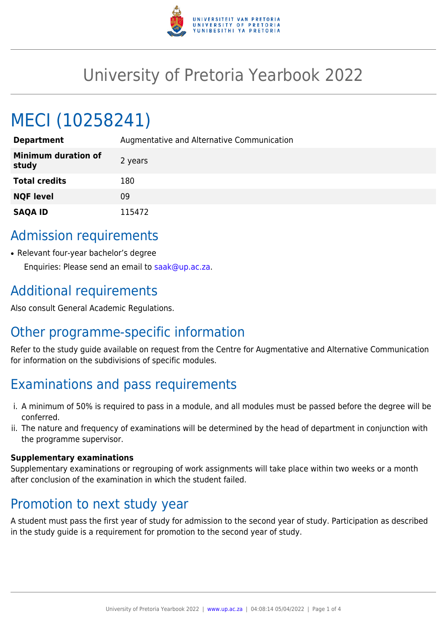

# University of Pretoria Yearbook 2022

# MECI (10258241)

| <b>Department</b>                   | Augmentative and Alternative Communication |
|-------------------------------------|--------------------------------------------|
| <b>Minimum duration of</b><br>study | 2 years                                    |
| <b>Total credits</b>                | 180                                        |
| <b>NQF level</b>                    | 09                                         |
| <b>SAQA ID</b>                      | 115472                                     |

#### Admission requirements

• Relevant four-year bachelor's degree Enquiries: Please send an email to [saak@up.ac.za](mailto:saak@up.ac.za).

## Additional requirements

Also consult General Academic Regulations.

# Other programme-specific information

Refer to the study guide available on request from the Centre for Augmentative and Alternative Communication for information on the subdivisions of specific modules.

### Examinations and pass requirements

- i. A minimum of 50% is required to pass in a module, and all modules must be passed before the degree will be conferred.
- ii. The nature and frequency of examinations will be determined by the head of department in conjunction with the programme supervisor.

#### **Supplementary examinations**

Supplementary examinations or regrouping of work assignments will take place within two weeks or a month after conclusion of the examination in which the student failed.

#### Promotion to next study year

A student must pass the first year of study for admission to the second year of study. Participation as described in the study guide is a requirement for promotion to the second year of study.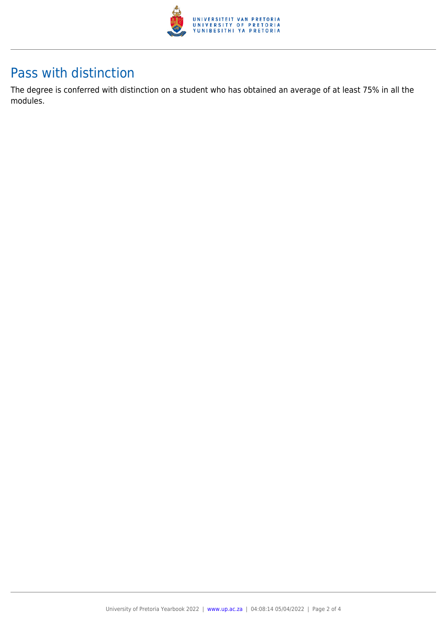

### Pass with distinction

The degree is conferred with distinction on a student who has obtained an average of at least 75% in all the modules.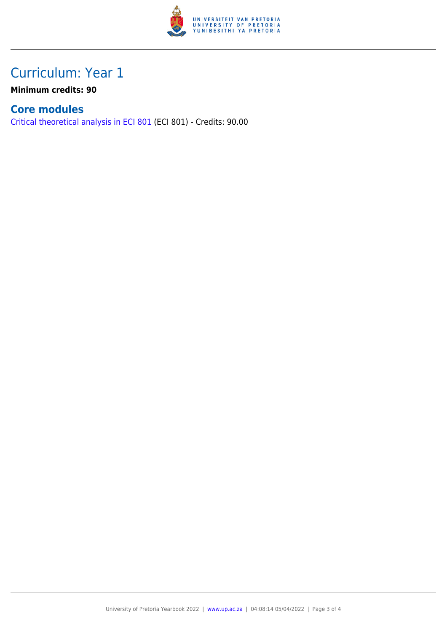

## Curriculum: Year 1

**Minimum credits: 90**

#### **Core modules**

[Critical theoretical analysis in ECI 801](https://www.up.ac.za/faculty-of-education/yearbooks/2022/modules/view/ECI 801) (ECI 801) - Credits: 90.00